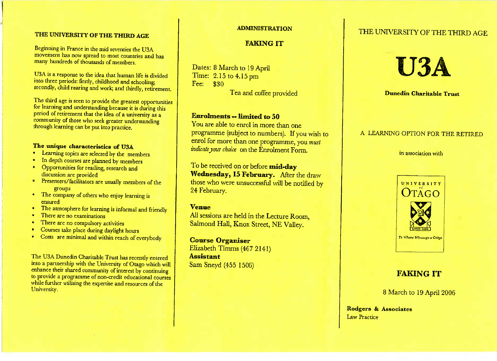## THE UNIVERSITY OF THE THIRD AGE

 novement has now spread to most countries and many hundreds of thousands of members and to many

U3A is a response to the idea that human life is divided nto three periods: firstly, childhood and schooling: econdly, child rearing and work; and thirdly, retiremer

 or learning and understanding because it is during this  $\alpha$  of retirement that the idea of a university as a ommunity of those who seek greater understanding  $\frac{1}{2}$  community of the set of the set of the set of the set of the set of the set of the set of the set of the set of the set of the set of the set of the set of the set of the set of the set of the set of the set of n be put into practice.

d thirdly, retirement.

## The unique characteristics of U3A

- **Examing** topics are selected by the me
- $\frac{1}{2}$  In depth courses are planned by members
- Opportunities for reading, research and discussion are provided
- 'resenters/facilitators are usually memb groups
- ompany of others who enjo ensured y of others who enjoy learning is
- $\sum_{i=1}^{n}$ d friendly
- There are no examinations
- There are no compulsory ac
- Courses take place during daylight he  $\bullet$
- Costs are minimal and within reach of ev h of everybod

to a partnership with the University of Otago which will interfall of interest by continuing the university of interest by continuing provide a programme of non-credit educational courses hile further utilising the expertise and resources of the  $\qquad$ University.

# **ADMINISTRATION**

# **FAKING IT**

**The and conce provided** 

 $D$ ates: 0 march to 19 April 1 Time: 2.15 to 4.15pm $\text{F}^{\text{c}}$   $\text{F}^{\text{a}}$ 

**EXECUTE OF SERVICERS — ADDRESS — ADDRESS — 2014** ogramme (subject to numbers). If you wish to programmation  $\frac{1}{2}$ explanance (subject to numbers). If you wish<br>nrol for more than one programme, you *must* e programme, yo *indicateyour choice* on the Enrolment Form.

To be received on or befor**e** be received on or before **mid-day**<br>**Vednesday, 15 February.** After the dray **hose who were unsuccessful will be notified by**  those who were unsuccessful will be notified by24 February.

**Venue** All sessions are held in the Lecture Room,almond Hall, Knox Street, NE Valley.

**Cours e Organise r** Elizabeth Timms (467 2141) **Assistant** Sam Sneyd (455 1506)

# THE UNIVERSITY OF THE THIRD AGE



**Dunedin Charitable Trust**

#### A LEARNING OPTION FOR THE RETIRED

n association with  $\overline{\phantom{a}}$ 



# **FAKING IT**

March to 19 April 2006

Rodgers **& Associates**aw Practice